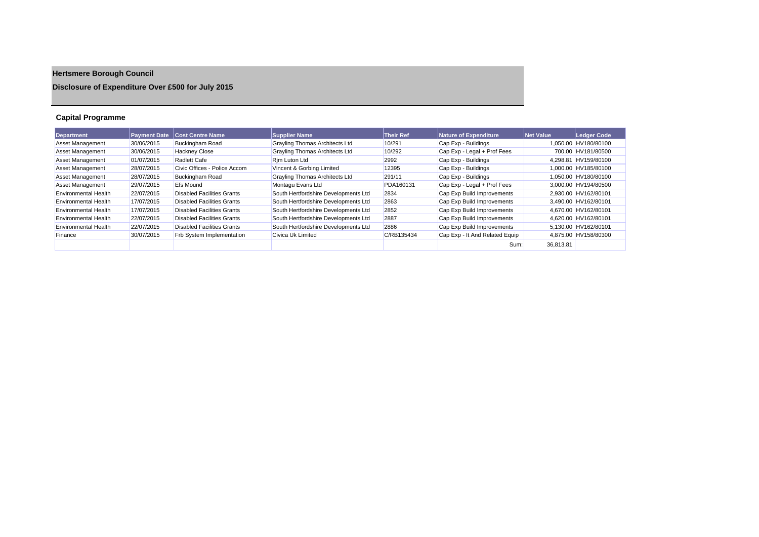# **Hertsmere Borough Council**

## **Disclosure of Expenditure Over £500 for July 2015**

## **Capital Programme**

| <b>Department</b>           | <b>Payment Date</b> | <b>Cost Centre Name</b>           | <b>Supplier Name</b>                  | <b>Their Ref</b> | <b>Nature of Expenditure</b>   | Net Value | Ledger Code          |
|-----------------------------|---------------------|-----------------------------------|---------------------------------------|------------------|--------------------------------|-----------|----------------------|
| <b>Asset Management</b>     | 30/06/2015          | <b>Buckingham Road</b>            | <b>Grayling Thomas Architects Ltd</b> | 10/291           | Cap Exp - Buildings            |           | 1.050.00 HV180/80100 |
| Asset Management            | 30/06/2015          | <b>Hackney Close</b>              | Grayling Thomas Architects Ltd        | 10/292           | Cap Exp - Legal + Prof Fees    |           | 700.00 HV181/80500   |
| Asset Management            | 01/07/2015          | <b>Radlett Cafe</b>               | Rim Luton Ltd                         | 2992             | Cap Exp - Buildings            |           | 4.298.81 HV159/80100 |
| <b>Asset Management</b>     | 28/07/2015          | Civic Offices - Police Accom      | Vincent & Gorbing Limited             | 12395            | Cap Exp - Buildings            |           | 1.000.00 HV185/80100 |
| Asset Management            | 28/07/2015          | Buckingham Road                   | <b>Grayling Thomas Architects Ltd</b> | 291/11           | Cap Exp - Buildings            |           | 1.050.00 HV180/80100 |
| <b>Asset Management</b>     | 29/07/2015          | <b>Efs Mound</b>                  | Montagu Evans Ltd                     | PDA160131        | Cap Exp - Legal + Prof Fees    |           | 3.000.00 HV194/80500 |
| Environmental Health        | 22/07/2015          | Disabled Facilities Grants        | South Hertfordshire Developments Ltd  | 2834             | Cap Exp Build Improvements     |           | 2.930.00 HV162/80101 |
| Environmental Health        | 17/07/2015          | Disabled Facilities Grants        | South Hertfordshire Developments Ltd  | 2863             | Cap Exp Build Improvements     |           | 3.490.00 HV162/80101 |
| <b>Environmental Health</b> | 17/07/2015          | Disabled Facilities Grants        | South Hertfordshire Developments Ltd  | 2852             | Cap Exp Build Improvements     |           | 4.670.00 HV162/80101 |
| Environmental Health        | 22/07/2015          | <b>Disabled Facilities Grants</b> | South Hertfordshire Developments Ltd  | 2887             | Cap Exp Build Improvements     |           | 4.620.00 HV162/80101 |
| <b>Environmental Health</b> | 22/07/2015          | <b>Disabled Facilities Grants</b> | South Hertfordshire Developments Ltd  | 2886             | Cap Exp Build Improvements     |           | 5,130.00 HV162/80101 |
| Finance                     | 30/07/2015          | Frb System Implementation         | Civica Uk Limited                     | C/RB135434       | Cap Exp - It And Related Equip |           | 4.875.00 HV158/80300 |
|                             |                     |                                   |                                       |                  | Sum:                           | 36.813.81 |                      |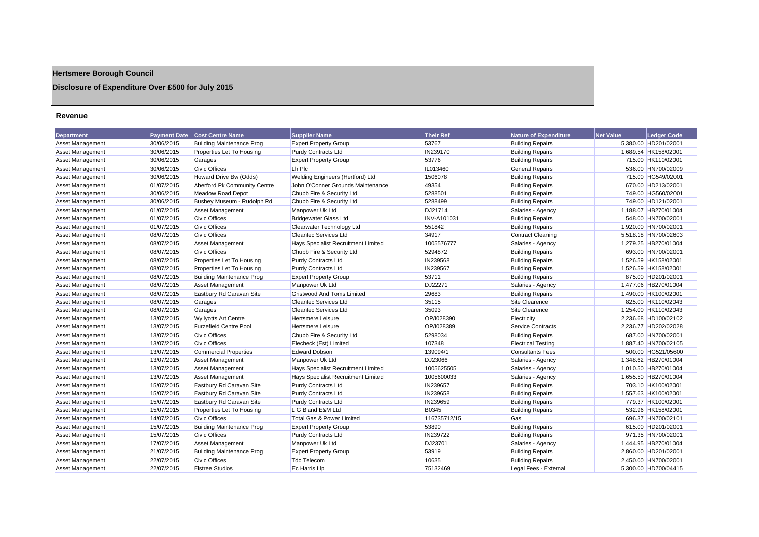## **Hertsmere Borough Council**

## **Disclosure of Expenditure Over £500 for July 2015**

#### **Revenue**

| <b>Department</b>       | <b>Payment Date</b> | <b>Cost Centre Name</b>          | <b>Supplier Name</b>                | <b>Their Ref</b>   | <b>Nature of Expenditure</b> | Net Value | Ledger Code          |
|-------------------------|---------------------|----------------------------------|-------------------------------------|--------------------|------------------------------|-----------|----------------------|
| <b>Asset Management</b> | 30/06/2015          | <b>Building Maintenance Prog</b> | <b>Expert Property Group</b>        | 53767              | <b>Building Repairs</b>      |           | 5,380.00 HD201/02001 |
| <b>Asset Management</b> | 30/06/2015          | Properties Let To Housing        | <b>Purdy Contracts Ltd</b>          | IN239170           | <b>Building Repairs</b>      |           | 1.689.54 HK158/02001 |
| Asset Management        | 30/06/2015          | Garages                          | <b>Expert Property Group</b>        | 53776              | <b>Building Repairs</b>      |           | 715.00 HK110/02001   |
| Asset Management        | 30/06/2015          | <b>Civic Offices</b>             | Lh Plc                              | IL013460           | <b>General Repairs</b>       |           | 536.00 HN700/02009   |
| Asset Management        | 30/06/2015          | Howard Drive Bw (Odds)           | Welding Engineers (Hertford) Ltd    | 1506078            | <b>Building Repairs</b>      |           | 715.00 HG549/02001   |
| <b>Asset Management</b> | 01/07/2015          | Aberford Pk Community Centre     | John O'Conner Grounds Maintenance   | 49354              | <b>Building Repairs</b>      |           | 670.00 HD213/02001   |
| <b>Asset Management</b> | 30/06/2015          | <b>Meadow Road Depot</b>         | Chubb Fire & Security Ltd           | 5288501            | <b>Building Repairs</b>      |           | 749.00 HG560/02001   |
| Asset Management        | 30/06/2015          | Bushey Museum - Rudolph Rd       | Chubb Fire & Security Ltd           | 5288499            | <b>Building Repairs</b>      |           | 749.00 HD121/02001   |
| Asset Management        | 01/07/2015          | Asset Management                 | Manpower Uk Ltd                     | DJ21714            | Salaries - Agency            |           | 1,188.07 HB270/01004 |
| <b>Asset Management</b> | 01/07/2015          | <b>Civic Offices</b>             | <b>Bridgewater Glass Ltd</b>        | <b>INV-A101031</b> | <b>Building Repairs</b>      |           | 548.00 HN700/02001   |
| <b>Asset Management</b> | 01/07/2015          | <b>Civic Offices</b>             | Clearwater Technology Ltd           | 551842             | <b>Building Repairs</b>      |           | 1,920.00 HN700/02001 |
| <b>Asset Management</b> | 08/07/2015          | <b>Civic Offices</b>             | <b>Cleantec Services Ltd</b>        | 34917              | <b>Contract Cleaning</b>     |           | 5,518.18 HN700/02603 |
| Asset Management        | 08/07/2015          | <b>Asset Management</b>          | Hays Specialist Recruitment Limited | 1005576777         | Salaries - Agency            |           | 1,279.25 HB270/01004 |
| Asset Management        | 08/07/2015          | <b>Civic Offices</b>             | Chubb Fire & Security Ltd           | 5294872            | <b>Building Repairs</b>      |           | 693.00 HN700/02001   |
| Asset Management        | 08/07/2015          | Properties Let To Housing        | <b>Purdy Contracts Ltd</b>          | IN239568           | <b>Building Repairs</b>      |           | 1.526.59 HK158/02001 |
| Asset Management        | 08/07/2015          | Properties Let To Housing        | <b>Purdy Contracts Ltd</b>          | IN239567           | <b>Building Repairs</b>      |           | 1,526.59 HK158/02001 |
| Asset Management        | 08/07/2015          | <b>Building Maintenance Prog</b> | <b>Expert Property Group</b>        | 53711              | <b>Building Repairs</b>      |           | 875.00 HD201/02001   |
| Asset Management        | 08/07/2015          | <b>Asset Management</b>          | Manpower Uk Ltd                     | DJ22271            | Salaries - Agency            |           | 1,477.06 HB270/01004 |
| <b>Asset Management</b> | 08/07/2015          | Eastbury Rd Caravan Site         | <b>Gristwood And Toms Limited</b>   | 29683              | <b>Building Repairs</b>      |           | 1,490.00 HK100/02001 |
| Asset Management        | 08/07/2015          | Garages                          | <b>Cleantec Services Ltd</b>        | 35115              | Site Clearence               |           | 825.00 HK110/02043   |
| Asset Management        | 08/07/2015          | Garages                          | <b>Cleantec Services Ltd</b>        | 35093              | Site Clearence               |           | 1,254.00 HK110/02043 |
| Asset Management        | 13/07/2015          | <b>Wyllyotts Art Centre</b>      | <b>Hertsmere Leisure</b>            | OP/1028390         | Electricity                  |           | 2,236.68 HD100/02102 |
| Asset Management        | 13/07/2015          | <b>Furzefield Centre Pool</b>    | <b>Hertsmere Leisure</b>            | OP/I028389         | <b>Service Contracts</b>     |           | 2,236.77 HD202/02028 |
| <b>Asset Management</b> | 13/07/2015          | <b>Civic Offices</b>             | Chubb Fire & Security Ltd           | 5298034            | <b>Building Repairs</b>      |           | 687.00 HN700/02001   |
| Asset Management        | 13/07/2015          | <b>Civic Offices</b>             | Elecheck (Est) Limited              | 107348             | <b>Electrical Testing</b>    |           | 1.887.40 HN700/02105 |
| Asset Management        | 13/07/2015          | <b>Commercial Properties</b>     | <b>Edward Dobson</b>                | 139094/1           | <b>Consultants Fees</b>      |           | 500.00 HG521/05600   |
| <b>Asset Management</b> | 13/07/2015          | <b>Asset Management</b>          | Manpower Uk Ltd                     | DJ23066            | Salaries - Agency            |           | 1,348.62 HB270/01004 |
| Asset Management        | 13/07/2015          | <b>Asset Management</b>          | Hays Specialist Recruitment Limited | 1005625505         | Salaries - Agency            |           | 1.010.50 HB270/01004 |
| Asset Management        | 13/07/2015          | <b>Asset Management</b>          | Hays Specialist Recruitment Limited | 1005600033         | Salaries - Agency            |           | 1,655.50 HB270/01004 |
| Asset Management        | 15/07/2015          | Eastbury Rd Caravan Site         | Purdy Contracts Ltd                 | IN239657           | <b>Building Repairs</b>      |           | 703.10 HK100/02001   |
| Asset Management        | 15/07/2015          | Eastbury Rd Caravan Site         | <b>Purdy Contracts Ltd</b>          | IN239658           | <b>Building Repairs</b>      |           | 1,557.63 HK100/02001 |
| <b>Asset Management</b> | 15/07/2015          | Eastbury Rd Caravan Site         | <b>Purdy Contracts Ltd</b>          | IN239659           | <b>Building Repairs</b>      |           | 779.37 HK100/02001   |
| <b>Asset Management</b> | 15/07/2015          | Properties Let To Housing        | L G Bland E&M Ltd                   | <b>B0345</b>       | <b>Building Repairs</b>      |           | 532.96 HK158/02001   |
| Asset Management        | 14/07/2015          | <b>Civic Offices</b>             | Total Gas & Power Limited           | 116735712/15       | Gas                          |           | 696.37 HN700/02101   |
| Asset Management        | 15/07/2015          | <b>Building Maintenance Prog</b> | <b>Expert Property Group</b>        | 53890              | <b>Building Repairs</b>      |           | 615.00 HD201/02001   |
| <b>Asset Management</b> | 15/07/2015          | <b>Civic Offices</b>             | <b>Purdy Contracts Ltd</b>          | IN239722           | <b>Building Repairs</b>      |           | 971.35 HN700/02001   |
| Asset Management        | 17/07/2015          | Asset Management                 | Manpower Uk Ltd                     | DJ23701            | Salaries - Agency            |           | 1,444.95 HB270/01004 |
| <b>Asset Management</b> | 21/07/2015          | <b>Building Maintenance Prog</b> | <b>Expert Property Group</b>        | 53919              | <b>Building Repairs</b>      |           | 2,860.00 HD201/02001 |
| <b>Asset Management</b> | 22/07/2015          | <b>Civic Offices</b>             | <b>Tdc Telecom</b>                  | 10635              | <b>Building Repairs</b>      |           | 2,450.00 HN700/02001 |
| Asset Management        | 22/07/2015          | <b>Elstree Studios</b>           | Ec Harris Llp                       | 75132469           | Legal Fees - External        |           | 5,300.00 HD700/04415 |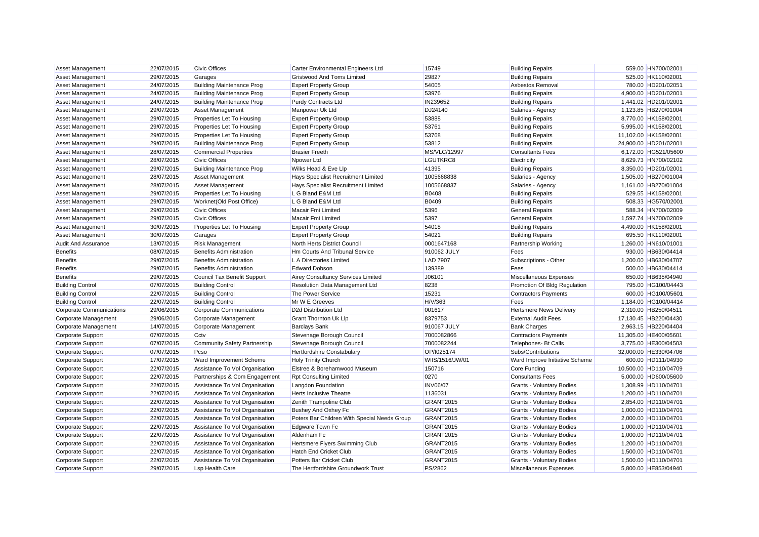| <b>Asset Management</b>         | 22/07/2015 | <b>Civic Offices</b>                | Carter Environmental Engineers Ltd           | 15749           | <b>Building Repairs</b>          |                       | 559.00 HN700/02001    |
|---------------------------------|------------|-------------------------------------|----------------------------------------------|-----------------|----------------------------------|-----------------------|-----------------------|
| <b>Asset Management</b>         | 29/07/2015 | Garages                             | <b>Gristwood And Toms Limited</b>            | 29827           | <b>Building Repairs</b>          |                       | 525.00 HK110/02001    |
| <b>Asset Management</b>         | 24/07/2015 | <b>Building Maintenance Prog</b>    | <b>Expert Property Group</b>                 | 54005           | Asbestos Removal                 |                       | 780.00 HD201/02051    |
| <b>Asset Management</b>         | 24/07/2015 | <b>Building Maintenance Prog</b>    | <b>Expert Property Group</b>                 | 53976           | <b>Building Repairs</b>          |                       | 4,900.00 HD201/02001  |
| <b>Asset Management</b>         | 24/07/2015 | <b>Building Maintenance Prog</b>    | Purdy Contracts Ltd                          | IN239652        | <b>Building Repairs</b>          |                       | 1,441.02 HD201/02001  |
| Asset Management                | 29/07/2015 | <b>Asset Management</b>             | Manpower Uk Ltd                              | DJ24140         | Salaries - Agency                |                       | 1,123.85 HB270/01004  |
| Asset Management                | 29/07/2015 | Properties Let To Housing           | <b>Expert Property Group</b>                 | 53888           | <b>Building Repairs</b>          |                       | 8,770.00 HK158/02001  |
| <b>Asset Management</b>         | 29/07/2015 | Properties Let To Housing           | <b>Expert Property Group</b>                 | 53761           | <b>Building Repairs</b>          |                       | 5,995.00 HK158/02001  |
| <b>Asset Management</b>         | 29/07/2015 | Properties Let To Housing           | <b>Expert Property Group</b>                 | 53768           | <b>Building Repairs</b>          | 11,102.00 HK158/02001 |                       |
| Asset Management                | 29/07/2015 | <b>Building Maintenance Prog</b>    | <b>Expert Property Group</b>                 | 53812           | <b>Building Repairs</b>          | 24,900.00 HD201/02001 |                       |
| <b>Asset Management</b>         | 28/07/2015 | <b>Commercial Properties</b>        | <b>Brasier Freeth</b>                        | MS/VLC/12997    | <b>Consultants Fees</b>          |                       | 6,172.00 HG521/05600  |
| <b>Asset Management</b>         | 28/07/2015 | <b>Civic Offices</b>                | Npower Ltd                                   | LGUTKRC8        | Electricity                      |                       | 8,629.73 HN700/02102  |
| <b>Asset Management</b>         | 29/07/2015 | <b>Building Maintenance Prog</b>    | Wilks Head & Eve Llp                         | 41395           | <b>Building Repairs</b>          |                       | 8,350.00 HD201/02001  |
| Asset Management                | 28/07/2015 | <b>Asset Management</b>             | Hays Specialist Recruitment Limited          | 1005668838      | Salaries - Agency                |                       | 1,505.00 HB270/01004  |
| <b>Asset Management</b>         | 28/07/2015 | <b>Asset Management</b>             | Hays Specialist Recruitment Limited          | 1005668837      | Salaries - Agency                |                       | 1,161.00 HB270/01004  |
| Asset Management                | 29/07/2015 | Properties Let To Housing           | L G Bland E&M Ltd                            | <b>B0408</b>    | <b>Building Repairs</b>          |                       | 529.55 HK158/02001    |
| Asset Management                | 29/07/2015 | Worknet(Old Post Office)            | L G Bland E&M Ltd                            | <b>B0409</b>    | <b>Building Repairs</b>          |                       | 508.33 HG570/02001    |
| <b>Asset Management</b>         | 29/07/2015 | <b>Civic Offices</b>                | <b>Macair Fmi Limited</b>                    | 5396            | <b>General Repairs</b>           |                       | 588.34 HN700/02009    |
| <b>Asset Management</b>         | 29/07/2015 | <b>Civic Offices</b>                | <b>Macair Fmi Limited</b>                    | 5397            | <b>General Repairs</b>           |                       | 1.597.74 HN700/02009  |
| Asset Management                | 30/07/2015 | Properties Let To Housing           | <b>Expert Property Group</b>                 | 54018           | <b>Building Repairs</b>          |                       | 4,490.00 HK158/02001  |
| <b>Asset Management</b>         | 30/07/2015 | Garages                             | <b>Expert Property Group</b>                 | 54021           | <b>Building Repairs</b>          |                       | 695.50 HK110/02001    |
| <b>Audit And Assurance</b>      | 13/07/2015 | Risk Management                     | North Herts District Council                 | 0001647168      | Partnership Working              |                       | 1,260.00 HN610/01001  |
| <b>Benefits</b>                 | 08/07/2015 | <b>Benefits Administration</b>      | Hm Courts And Tribunal Service               | 910062 JULY     | Fees                             |                       | 930.00 HB630/04414    |
| <b>Benefits</b>                 | 29/07/2015 | <b>Benefits Administration</b>      | L A Directories Limited                      | <b>LAD 7907</b> | Subscriptions - Other            |                       | 1,200.00 HB630/04707  |
| <b>Benefits</b>                 | 29/07/2015 | <b>Benefits Administration</b>      | <b>Edward Dobson</b>                         | 139389          | Fees                             |                       | 500.00 HB630/04414    |
| <b>Benefits</b>                 | 29/07/2015 | Council Tax Benefit Support         | <b>Airey Consultancy Services Limited</b>    | J06101          | Miscellaneous Expenses           |                       | 650.00 HB635/04940    |
| <b>Building Control</b>         | 07/07/2015 | <b>Building Control</b>             | <b>Resolution Data Management Ltd</b>        | 8238            | Promotion Of Bldg Regulation     |                       | 795.00 HG100/04443    |
| <b>Building Control</b>         | 22/07/2015 | <b>Building Control</b>             | The Power Service                            | 15231           | <b>Contractors Payments</b>      |                       | 600.00 HG100/05601    |
| <b>Building Control</b>         | 22/07/2015 | <b>Building Control</b>             | Mr W E Greeves                               | H/V/363         | Fees                             |                       | 1,184.00 HG100/04414  |
| <b>Corporate Communications</b> | 29/06/2015 | <b>Corporate Communications</b>     | D2d Distribution Ltd                         | 001617          | <b>Hertsmere News Delivery</b>   |                       | 2,310.00 HB250/04511  |
| Corporate Management            | 29/06/2015 | Corporate Management                | <b>Grant Thornton Uk Lip</b>                 | 8379753         | <b>External Audit Fees</b>       |                       | 17,130.45 HB220/04430 |
| Corporate Management            | 14/07/2015 | Corporate Management                | <b>Barclays Bank</b>                         | 910067 JULY     | <b>Bank Charges</b>              |                       | 2,963.15 HB220/04404  |
| Corporate Support               | 07/07/2015 | Cctv                                | Stevenage Borough Council                    | 7000082866      | <b>Contractors Payments</b>      | 11,305.00 HE400/05601 |                       |
| <b>Corporate Support</b>        | 07/07/2015 | <b>Community Safety Partnership</b> | Stevenage Borough Council                    | 7000082244      | Telephones- Bt Calls             |                       | 3,775.00 HE300/04503  |
| Corporate Support               | 07/07/2015 | Pcso                                | Hertfordshire Constabulary                   | OP/1025174      | Subs/Contributions               |                       | 32,000.00 HE330/04706 |
| <b>Corporate Support</b>        | 17/07/2015 | Ward Improvement Scheme             | <b>Holy Trinity Church</b>                   | WIIS/1516/JW/01 | Ward Improve Initiative Scheme   |                       | 600.00 HD111/04930    |
| <b>Corporate Support</b>        | 22/07/2015 | Assistance To Vol Organisation      | Elstree & Borehamwood Museum                 | 150716          | Core Funding                     |                       | 10,500.00 HD110/04709 |
| <b>Corporate Support</b>        | 22/07/2015 | Partnerships & Com Engagement       | <b>Rpt Consulting Limited</b>                | 0270            | <b>Consultants Fees</b>          |                       | 5,000.00 HD600/05600  |
| Corporate Support               | 22/07/2015 | Assistance To Vol Organisation      | Langdon Foundation                           | <b>INV06/07</b> | <b>Grants - Voluntary Bodies</b> |                       | 1.308.99 HD110/04701  |
| <b>Corporate Support</b>        | 22/07/2015 | Assistance To Vol Organisation      | <b>Herts Inclusive Theatre</b>               | 1136031         | Grants - Voluntary Bodies        |                       | 1,200.00 HD110/04701  |
| Corporate Support               | 22/07/2015 | Assistance To Vol Organisation      | Zenith Trampoline Club                       | GRANT2015       | <b>Grants - Voluntary Bodies</b> |                       | 2,854.00 HD110/04701  |
| Corporate Support               | 22/07/2015 | Assistance To Vol Organisation      | <b>Bushey And Oxhey Fc</b>                   | GRANT2015       | <b>Grants - Voluntary Bodies</b> |                       | 1,000.00 HD110/04701  |
| Corporate Support               | 22/07/2015 | Assistance To Vol Organisation      | Poters Bar Children With Special Needs Group | GRANT2015       | <b>Grants - Voluntary Bodies</b> |                       | 2,000.00 HD110/04701  |
| <b>Corporate Support</b>        | 22/07/2015 | Assistance To Vol Organisation      | Edgware Town Fc                              | GRANT2015       | <b>Grants - Voluntary Bodies</b> |                       | 1,000.00 HD110/04701  |
| Corporate Support               | 22/07/2015 | Assistance To Vol Organisation      | Aldenham Fc                                  | GRANT2015       | <b>Grants - Voluntary Bodies</b> |                       | 1,000.00 HD110/04701  |
| Corporate Support               | 22/07/2015 | Assistance To Vol Organisation      | Hertsmere Flyers Swimming Club               | GRANT2015       | <b>Grants - Voluntary Bodies</b> |                       | 1,200.00 HD110/04701  |
| <b>Corporate Support</b>        | 22/07/2015 | Assistance To Vol Organisation      | Hatch End Cricket Club                       | GRANT2015       | <b>Grants - Voluntary Bodies</b> |                       | 1,500.00 HD110/04701  |
| <b>Corporate Support</b>        | 22/07/2015 | Assistance To Vol Organisation      | Potters Bar Cricket Club                     | GRANT2015       | <b>Grants - Voluntary Bodies</b> |                       | 1,500.00 HD110/04701  |
| Corporate Support               | 29/07/2015 | <b>Lsp Health Care</b>              | The Hertfordshire Groundwork Trust           | PS/2862         | Miscellaneous Expenses           |                       | 5.800.00 HE853/04940  |
|                                 |            |                                     |                                              |                 |                                  |                       |                       |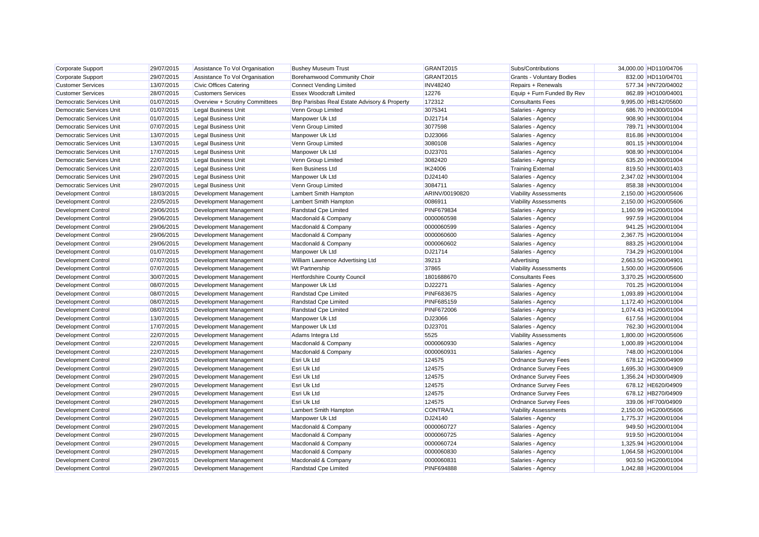| Corporate Support               | 29/07/2015 | Assistance To Vol Organisation | <b>Bushey Museum Trust</b>                   | GRANT2015         | Subs/Contributions               | 34,000.00 HD110/04706 |  |
|---------------------------------|------------|--------------------------------|----------------------------------------------|-------------------|----------------------------------|-----------------------|--|
| Corporate Support               | 29/07/2015 | Assistance To Vol Organisation | Borehamwood Community Choir                  | GRANT2015         | <b>Grants - Voluntary Bodies</b> | 832.00 HD110/04701    |  |
| <b>Customer Services</b>        | 13/07/2015 | Civic Offices Catering         | Connect Vending Limited                      | <b>INV48240</b>   | Repairs + Renewals               | 577.34 HN720/04002    |  |
| <b>Customer Services</b>        | 28/07/2015 | <b>Customers Services</b>      | <b>Essex Woodcraft Limited</b>               | 12276             | Equip + Furn Funded By Rev       | 862.89 HO100/04001    |  |
| Democratic Services Unit        | 01/07/2015 | Overview + Scrutiny Committees | Bnp Parisbas Real Estate Advisory & Property | 172312            | <b>Consultants Fees</b>          | 9,995.00 HB142/05600  |  |
| Democratic Services Unit        | 01/07/2015 | <b>Legal Business Unit</b>     | Venn Group Limited                           | 3075341           | Salaries - Agency                | 686.70 HN300/01004    |  |
| <b>Democratic Services Unit</b> | 01/07/2015 | <b>Legal Business Unit</b>     | Manpower Uk Ltd                              | DJ21714           | Salaries - Agency                | 908.90 HN300/01004    |  |
| Democratic Services Unit        | 07/07/2015 | <b>Legal Business Unit</b>     | Venn Group Limited                           | 3077598           | Salaries - Agency                | 789.71 HN300/01004    |  |
| Democratic Services Unit        | 13/07/2015 | Legal Business Unit            | Manpower Uk Ltd                              | DJ23066           | Salaries - Agency                | 816.86 HN300/01004    |  |
| <b>Democratic Services Unit</b> | 13/07/2015 | <b>Legal Business Unit</b>     | Venn Group Limited                           | 3080108           | Salaries - Agency                | 801.15 HN300/01004    |  |
| Democratic Services Unit        | 17/07/2015 | <b>Legal Business Unit</b>     | Manpower Uk Ltd                              | DJ23701           | Salaries - Agency                | 908.90 HN300/01004    |  |
| Democratic Services Unit        | 22/07/2015 | Legal Business Unit            | Venn Group Limited                           | 3082420           | Salaries - Agency                | 635.20 HN300/01004    |  |
| <b>Democratic Services Unit</b> | 22/07/2015 | <b>Legal Business Unit</b>     | Iken Business Ltd                            | IK24006           | <b>Training External</b>         | 819.50 HN300/01403    |  |
| <b>Democratic Services Unit</b> | 29/07/2015 | <b>Legal Business Unit</b>     | Manpower Uk Ltd                              | DJ24140           | Salaries - Agency                | 2,347.02 HN300/01004  |  |
| <b>Democratic Services Unit</b> | 29/07/2015 | <b>Legal Business Unit</b>     | Venn Group Limited                           | 3084711           | Salaries - Agency                | 858.38 HN300/01004    |  |
| <b>Development Control</b>      | 18/03/2015 | Development Management         | Lambert Smith Hampton                        | ARINV/00190820    | <b>Viability Assessments</b>     | 2,150.00 HG200/05606  |  |
| <b>Development Control</b>      | 22/05/2015 | Development Management         | Lambert Smith Hampton                        | 0086911           | <b>Viability Assessments</b>     | 2,150.00 HG200/05606  |  |
| <b>Development Control</b>      | 29/06/2015 | Development Management         | Randstad Cpe Limited                         | <b>PINF679834</b> | Salaries - Agency                | 1,160.99 HG200/01004  |  |
| Development Control             | 29/06/2015 | Development Management         | Macdonald & Company                          | 0000060598        | Salaries - Agency                | 997.59 HG200/01004    |  |
| Development Control             | 29/06/2015 | Development Management         | Macdonald & Company                          | 0000060599        | Salaries - Agency                | 941.25 HG200/01004    |  |
| Development Control             | 29/06/2015 | Development Management         | Macdonald & Company                          | 0000060600        | Salaries - Agency                | 2,367.75 HG200/01004  |  |
| Development Control             | 29/06/2015 | Development Management         | Macdonald & Company                          | 0000060602        | Salaries - Agency                | 883.25 HG200/01004    |  |
| <b>Development Control</b>      | 01/07/2015 | Development Management         | Manpower Uk Ltd                              | DJ21714           | Salaries - Agency                | 734.29 HG200/01004    |  |
| <b>Development Control</b>      | 07/07/2015 | Development Management         | William Lawrence Advertising Ltd             | 39213             | Advertising                      | 2,663.50 HG200/04901  |  |
| <b>Development Control</b>      | 07/07/2015 | Development Management         | <b>Wt Partnership</b>                        | 37865             | <b>Viability Assessments</b>     | 1,500.00 HG200/05606  |  |
| <b>Development Control</b>      | 30/07/2015 | Development Management         | Hertfordshire County Council                 | 1801688670        | <b>Consultants Fees</b>          | 3,370.25 HG200/05600  |  |
| Development Control             | 08/07/2015 | Development Management         | Manpower Uk Ltd                              | DJ22271           | Salaries - Agency                | 701.25 HG200/01004    |  |
| <b>Development Control</b>      | 08/07/2015 | Development Management         | Randstad Cpe Limited                         | <b>PINF683675</b> | Salaries - Agency                | 1,093.89 HG200/01004  |  |
| <b>Development Control</b>      | 08/07/2015 | Development Management         | Randstad Cpe Limited                         | <b>PINF685159</b> | Salaries - Agency                | 1,172.40 HG200/01004  |  |
| <b>Development Control</b>      | 08/07/2015 | Development Management         | Randstad Cpe Limited                         | <b>PINF672006</b> | Salaries - Agency                | 1,074.43 HG200/01004  |  |
| Development Control             | 13/07/2015 | Development Management         | Manpower Uk Ltd                              | DJ23066           | Salaries - Agency                | 617.56 HG200/01004    |  |
| <b>Development Control</b>      | 17/07/2015 | Development Management         | Manpower Uk Ltd                              | DJ23701           | Salaries - Agency                | 762.30 HG200/01004    |  |
| Development Control             | 22/07/2015 | Development Management         | Adams Integra Ltd                            | 5525              | <b>Viability Assessments</b>     | 1,800.00 HG200/05606  |  |
| <b>Development Control</b>      | 22/07/2015 | Development Management         | Macdonald & Company                          | 0000060930        | Salaries - Agency                | 1,000.89 HG200/01004  |  |
| Development Control             | 22/07/2015 | Development Management         | Macdonald & Company                          | 0000060931        | Salaries - Agency                | 748.00 HG200/01004    |  |
| <b>Development Control</b>      | 29/07/2015 | Development Management         | Esri Uk Ltd                                  | 124575            | <b>Ordnance Survey Fees</b>      | 678.12 HG200/04909    |  |
| Development Control             | 29/07/2015 | Development Management         | Esri Uk Ltd                                  | 124575            | <b>Ordnance Survey Fees</b>      | 1,695.30 HG300/04909  |  |
| Development Control             | 29/07/2015 | Development Management         | Esri Uk Ltd                                  | 124575            | <b>Ordnance Survey Fees</b>      | 1,356.24 HD300/04909  |  |
| Development Control             | 29/07/2015 | Development Management         | Esri Uk Ltd                                  | 124575            | <b>Ordnance Survey Fees</b>      | 678.12 HE620/04909    |  |
| <b>Development Control</b>      | 29/07/2015 | Development Management         | Esri Uk Ltd                                  | 124575            | <b>Ordnance Survey Fees</b>      | 678.12 HB270/04909    |  |
| Development Control             | 29/07/2015 | Development Management         | Esri Uk Ltd                                  | 124575            | <b>Ordnance Survey Fees</b>      | 339.06 HF700/04909    |  |
| Development Control             | 24/07/2015 | Development Management         | Lambert Smith Hampton                        | CONTRA/1          | <b>Viability Assessments</b>     | 2,150.00 HG200/05606  |  |
| Development Control             | 29/07/2015 | Development Management         | Manpower Uk Ltd                              | DJ24140           | Salaries - Agency                | 1,775.37 HG200/01004  |  |
| <b>Development Control</b>      | 29/07/2015 | Development Management         | Macdonald & Company                          | 0000060727        | Salaries - Agency                | 949.50 HG200/01004    |  |
| <b>Development Control</b>      | 29/07/2015 | Development Management         | Macdonald & Company                          | 0000060725        | Salaries - Agency                | 919.50 HG200/01004    |  |
| Development Control             | 29/07/2015 | Development Management         | Macdonald & Company                          | 0000060724        | Salaries - Agency                | 1,325.94 HG200/01004  |  |
| <b>Development Control</b>      | 29/07/2015 | Development Management         | Macdonald & Company                          | 0000060830        | Salaries - Agency                | 1,064.58 HG200/01004  |  |
| Development Control             | 29/07/2015 | Development Management         | Macdonald & Company                          | 0000060831        | Salaries - Agency                | 903.50 HG200/01004    |  |
| <b>Development Control</b>      | 29/07/2015 | Development Management         | Randstad Cpe Limited                         | <b>PINF694888</b> | Salaries - Agency                | 1.042.88 HG200/01004  |  |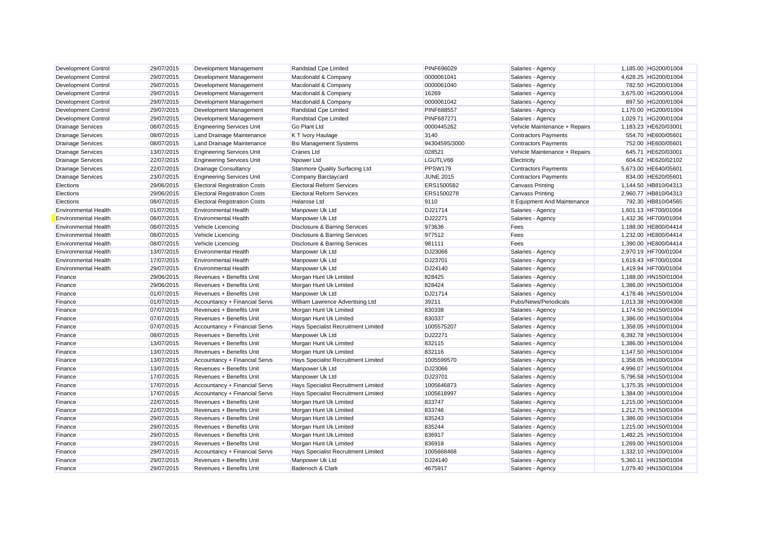| <b>Development Control</b>  | 29/07/2015 | Development Management              | Randstad Cpe Limited                     | <b>PINF696029</b> | Salaries - Agency             | 1,185.00 HG200/01004 |
|-----------------------------|------------|-------------------------------------|------------------------------------------|-------------------|-------------------------------|----------------------|
| <b>Development Control</b>  | 29/07/2015 | Development Management              | Macdonald & Company                      | 0000061041        | Salaries - Agency             | 4,628.25 HG200/01004 |
| <b>Development Control</b>  | 29/07/2015 | Development Management              | Macdonald & Company                      | 0000061040        | Salaries - Agency             | 782.50 HG200/01004   |
| <b>Development Control</b>  | 29/07/2015 | Development Management              | Macdonald & Company                      | 16269             | Salaries - Agency             | 3,675.00 HG200/01004 |
| <b>Development Control</b>  | 29/07/2015 | Development Management              | Macdonald & Company                      | 0000061042        | Salaries - Agency             | 897.50 HG200/01004   |
| <b>Development Control</b>  | 29/07/2015 | Development Management              | Randstad Cpe Limited                     | <b>PINF688557</b> | Salaries - Agency             | 1,170.00 HG200/01004 |
| Development Control         | 29/07/2015 | Development Management              | Randstad Cpe Limited                     | <b>PINF687271</b> | Salaries - Agency             | 1.029.71 HG200/01004 |
| <b>Drainage Services</b>    | 08/07/2015 | <b>Engineering Services Unit</b>    | <b>Go Plant Ltd</b>                      | 0000445262        | Vehicle Maintenance + Repairs | 1,183.23 HE620/03001 |
| <b>Drainage Services</b>    | 08/07/2015 | Land Drainage Maintenance           | K T Ivory Haulage                        | 3140              | <b>Contractors Payments</b>   | 554.70 HE600/05601   |
| <b>Drainage Services</b>    | 08/07/2015 | Land Drainage Maintenance           | <b>Bsi Management Systems</b>            | 94304595/3000     | <b>Contractors Payments</b>   | 752.00 HE600/05601   |
| <b>Drainage Services</b>    | 13/07/2015 | <b>Engineering Services Unit</b>    | <b>Cranes Ltd</b>                        | 028521            | Vehicle Maintenance + Repairs | 645.71 HE620/03001   |
| <b>Drainage Services</b>    | 22/07/2015 | <b>Engineering Services Unit</b>    | Npower Ltd                               | LGUTLV66          | Electricity                   | 604.62 HE620/02102   |
| <b>Drainage Services</b>    | 22/07/2015 | <b>Drainage Consultancy</b>         | <b>Stanmore Quality Surfacing Ltd</b>    | PPSW179           | <b>Contractors Payments</b>   | 5,673.00 HE640/05601 |
| <b>Drainage Services</b>    | 23/07/2015 | <b>Engineering Services Unit</b>    | Company Barclaycard                      | <b>JUNE 2015</b>  | <b>Contractors Payments</b>   | 834.00 HE620/05601   |
| Elections                   | 29/06/2015 | <b>Electoral Registration Costs</b> | <b>Electoral Reform Services</b>         | ERS1500582        | <b>Canvass Printing</b>       | 1,144.50 HB810/04313 |
| Elections                   | 29/06/2015 | <b>Electoral Registration Costs</b> | <b>Electoral Reform Services</b>         | ERS1500278        | Canvass Printing              | 2,960.77 HB810/04313 |
| Elections                   | 08/07/2015 | <b>Electoral Registration Costs</b> | <b>Halarose Ltd</b>                      | 9110              | It Equipment And Maintenance  | 792.30 HB810/04565   |
| <b>Environmental Health</b> | 01/07/2015 | <b>Environmental Health</b>         | Manpower Uk Ltd                          | DJ21714           | Salaries - Agency             | 1,601.13 HF700/01004 |
| <b>Environmental Health</b> | 08/07/2015 | <b>Environmental Health</b>         | Manpower Uk Ltd                          | DJ22271           | Salaries - Agency             | 1,432.36 HF700/01004 |
| <b>Environmental Health</b> | 08/07/2015 | Vehicle Licencing                   | Disclosure & Barring Services            | 973636            | Fees                          | 1,188.00 HE800/04414 |
| <b>Environmental Health</b> | 08/07/2015 | Vehicle Licencing                   | Disclosure & Barring Services            | 977512            | Fees                          | 1.232.00 HE800/04414 |
| <b>Environmental Health</b> | 08/07/2015 | Vehicle Licencing                   | <b>Disclosure &amp; Barring Services</b> | 981111            | Fees                          | 1,390.00 HE800/04414 |
| <b>Environmental Health</b> | 13/07/2015 | <b>Environmental Health</b>         | Manpower Uk Ltd                          | DJ23066           | Salaries - Agency             | 2,970.19 HF700/01004 |
| <b>Environmental Health</b> | 17/07/2015 | <b>Environmental Health</b>         | Manpower Uk Ltd                          | DJ23701           | Salaries - Agency             | 1,619.43 HF700/01004 |
| <b>Environmental Health</b> | 29/07/2015 | <b>Environmental Health</b>         | Manpower Uk Ltd                          | DJ24140           | Salaries - Agency             | 1,419.94 HF700/01004 |
| Finance                     | 29/06/2015 | Revenues + Benefits Unit            | Morgan Hunt Uk Limited                   | 828425            | Salaries - Agency             | 1,188.00 HN150/01004 |
| Finance                     | 29/06/2015 | Revenues + Benefits Unit            | Morgan Hunt Uk Limited                   | 828424            | Salaries - Agency             | 1,386.00 HN150/01004 |
| Finance                     | 01/07/2015 | Revenues + Benefits Unit            | Manpower Uk Ltd                          | DJ21714           | Salaries - Agency             | 4.178.46 HN150/01004 |
| Finance                     | 01/07/2015 | Accountancy + Financial Servs       | William Lawrence Advertising Ltd         | 39211             | Pubs/News/Periodicals         | 1,013.38 HN100/04308 |
| Finance                     | 07/07/2015 | Revenues + Benefits Unit            | Morgan Hunt Uk Limited                   | 830338            | Salaries - Agency             | 1,174.50 HN150/01004 |
| Finance                     | 07/07/2015 | Revenues + Benefits Unit            | Morgan Hunt Uk Limited                   | 830337            | Salaries - Agency             | 1,386.00 HN150/01004 |
| Finance                     | 07/07/2015 | Accountancy + Financial Servs       | Hays Specialist Recruitment Limited      | 1005575207        | Salaries - Agency             | 1,358.05 HN100/01004 |
| Finance                     | 08/07/2015 | Revenues + Benefits Unit            | Manpower Uk Ltd                          | DJ22271           | Salaries - Agency             | 6,392.78 HN150/01004 |
| Finance                     | 13/07/2015 | Revenues + Benefits Unit            | Morgan Hunt Uk Limited                   | 832115            | Salaries - Agency             | 1,386.00 HN150/01004 |
| Finance                     | 13/07/2015 | Revenues + Benefits Unit            | Morgan Hunt Uk Limited                   | 832116            | Salaries - Agency             | 1,147.50 HN150/01004 |
| Finance                     | 13/07/2015 | Accountancy + Financial Servs       | Hays Specialist Recruitment Limited      | 1005599570        | Salaries - Agency             | 1,358.05 HN100/01004 |
| Finance                     | 13/07/2015 | Revenues + Benefits Unit            | Manpower Uk Ltd                          | DJ23066           | Salaries - Agency             | 4,996.07 HN150/01004 |
| Finance                     | 17/07/2015 | Revenues + Benefits Unit            | Manpower Uk Ltd                          | DJ23701           | Salaries - Agency             | 5,796.58 HN150/01004 |
| Finance                     | 17/07/2015 | Accountancy + Financial Servs       | Hays Specialist Recruitment Limited      | 1005646873        | Salaries - Agency             | 1,375.35 HN100/01004 |
| Finance                     | 17/07/2015 | Accountancy + Financial Servs       | Hays Specialist Recruitment Limited      | 1005618997        | Salaries - Agency             | 1,384.00 HN100/01004 |
| Finance                     | 22/07/2015 | Revenues + Benefits Unit            | Morgan Hunt Uk Limited                   | 833747            | Salaries - Agency             | 1,215.00 HN150/01004 |
| Finance                     | 22/07/2015 | Revenues + Benefits Unit            | Morgan Hunt Uk Limited                   | 833746            | Salaries - Agency             | 1.212.75 HN150/01004 |
| Finance                     | 29/07/2015 | Revenues + Benefits Unit            | Morgan Hunt Uk Limited                   | 835243            | Salaries - Agency             | 1,386.00 HN150/01004 |
| Finance                     | 29/07/2015 | Revenues + Benefits Unit            | Morgan Hunt Uk Limited                   | 835244            | Salaries - Agency             | 1,215.00 HN150/01004 |
| Finance                     | 29/07/2015 | Revenues + Benefits Unit            | Morgan Hunt Uk Limited                   | 836917            | Salaries - Agency             | 1,482.25 HN150/01004 |
| Finance                     | 29/07/2015 | Revenues + Benefits Unit            | Morgan Hunt Uk Limited                   | 836918            | Salaries - Agency             | 1,269.00 HN150/01004 |
| Finance                     | 29/07/2015 | Accountancy + Financial Servs       | Hays Specialist Recruitment Limited      | 1005668468        | Salaries - Agency             | 1,332.10 HN100/01004 |
| Finance                     | 29/07/2015 | Revenues + Benefits Unit            | Manpower Uk Ltd                          | DJ24140           | Salaries - Agency             | 5.360.11 HN150/01004 |
| Finance                     | 29/07/2015 | Revenues + Benefits Unit            | Badenoch & Clark                         | 4675917           | Salaries - Agency             | 1.079.40 HN150/01004 |
|                             |            |                                     |                                          |                   |                               |                      |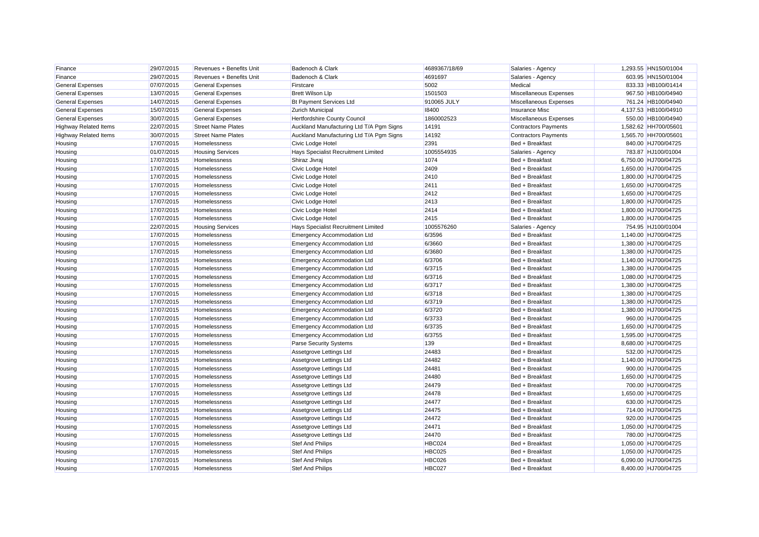| Finance                      | 29/07/2015 | Revenues + Benefits Unit  | Badenoch & Clark                         | 4689367/18/69 | Salaries - Agency           | 1,293.55 HN150/01004 |
|------------------------------|------------|---------------------------|------------------------------------------|---------------|-----------------------------|----------------------|
| Finance                      | 29/07/2015 | Revenues + Benefits Unit  | Badenoch & Clark                         | 4691697       | Salaries - Agency           | 603.95 HN150/01004   |
| <b>General Expenses</b>      | 07/07/2015 | <b>General Expenses</b>   | Firstcare                                | 5002          | Medical                     | 833.33 HB100/01414   |
| <b>General Expenses</b>      | 13/07/2015 | <b>General Expenses</b>   | <b>Brett Wilson Llp</b>                  | 1501503       | Miscellaneous Expenses      | 967.50 HB100/04940   |
| <b>General Expenses</b>      | 14/07/2015 | <b>General Expenses</b>   | Bt Payment Services Ltd                  | 910065 JULY   | Miscellaneous Expenses      | 761.24 HB100/04940   |
| <b>General Expenses</b>      | 15/07/2015 | <b>General Expenses</b>   | <b>Zurich Municipal</b>                  | 18400         | <b>Insurance Misc</b>       | 4,137.53 HB100/04910 |
| <b>General Expenses</b>      | 30/07/2015 | <b>General Expenses</b>   | Hertfordshire County Council             | 1860002523    | Miscellaneous Expenses      | 550.00 HB100/04940   |
| <b>Highway Related Items</b> | 22/07/2015 | <b>Street Name Plates</b> | Auckland Manufacturing Ltd T/A Pgm Signs | 14191         | <b>Contractors Payments</b> | 1,582.62 HH700/05601 |
| <b>Highway Related Items</b> | 30/07/2015 | <b>Street Name Plates</b> | Auckland Manufacturing Ltd T/A Pgm Signs | 14192         | <b>Contractors Payments</b> | 1,565.70 HH700/05601 |
| Housing                      | 17/07/2015 | <b>Homelessness</b>       | Civic Lodge Hotel                        | 2391          | Bed + Breakfast             | 840.00 HJ700/04725   |
| Housing                      | 01/07/2015 | <b>Housing Services</b>   | Hays Specialist Recruitment Limited      | 1005554935    | Salaries - Agency           | 783.87 HJ100/01004   |
| Housing                      | 17/07/2015 | Homelessness              | Shiraz Jivraj                            | 1074          | Bed + Breakfast             | 6,750.00 HJ700/04725 |
| Housing                      | 17/07/2015 | Homelessness              | Civic Lodge Hotel                        | 2409          | Bed + Breakfast             | 1,650.00 HJ700/04725 |
| Housing                      | 17/07/2015 | Homelessness              | Civic Lodge Hotel                        | 2410          | Bed + Breakfast             | 1,800.00 HJ700/04725 |
| Housing                      | 17/07/2015 | Homelessness              | Civic Lodge Hotel                        | 2411          | Bed + Breakfast             | 1,650.00 HJ700/04725 |
| Housing                      | 17/07/2015 | Homelessness              | Civic Lodge Hotel                        | 2412          | Bed + Breakfast             | 1,650.00 HJ700/04725 |
| Housing                      | 17/07/2015 | Homelessness              | Civic Lodge Hotel                        | 2413          | Bed + Breakfast             | 1,800.00 HJ700/04725 |
| Housing                      | 17/07/2015 | Homelessness              | Civic Lodge Hotel                        | 2414          | Bed + Breakfast             | 1,800.00 HJ700/04725 |
| Housing                      | 17/07/2015 | <b>Homelessness</b>       | Civic Lodge Hotel                        | 2415          | Bed + Breakfast             | 1,800.00 HJ700/04725 |
| Housing                      | 22/07/2015 | <b>Housing Services</b>   | Hays Specialist Recruitment Limited      | 1005576260    | Salaries - Agency           | 754.95 HJ100/01004   |
| Housing                      | 17/07/2015 | Homelessness              | <b>Emergency Accommodation Ltd</b>       | 6/3596        | Bed + Breakfast             | 1,140.00 HJ700/04725 |
| Housing                      | 17/07/2015 | Homelessness              | <b>Emergency Accommodation Ltd</b>       | 6/3660        | Bed + Breakfast             | 1,380.00 HJ700/04725 |
| Housing                      | 17/07/2015 | Homelessness              | <b>Emergency Accommodation Ltd</b>       | 6/3680        | Bed + Breakfast             | 1,380.00 HJ700/04725 |
| Housing                      | 17/07/2015 | Homelessness              | <b>Emergency Accommodation Ltd</b>       | 6/3706        | Bed + Breakfast             | 1,140.00 HJ700/04725 |
| Housing                      | 17/07/2015 | Homelessness              | <b>Emergency Accommodation Ltd</b>       | 6/3715        | Bed + Breakfast             | 1,380.00 HJ700/04725 |
| Housing                      | 17/07/2015 | Homelessness              | <b>Emergency Accommodation Ltd</b>       | 6/3716        | Bed + Breakfast             | 1,080.00 HJ700/04725 |
| Housing                      | 17/07/2015 | Homelessness              | <b>Emergency Accommodation Ltd</b>       | 6/3717        | Bed + Breakfast             | 1,380.00 HJ700/04725 |
| Housing                      | 17/07/2015 | Homelessness              | <b>Emergency Accommodation Ltd</b>       | 6/3718        | Bed + Breakfast             | 1.380.00 HJ700/04725 |
| Housing                      | 17/07/2015 | Homelessness              | <b>Emergency Accommodation Ltd</b>       | 6/3719        | Bed + Breakfast             | 1,380.00 HJ700/04725 |
| Housing                      | 17/07/2015 | Homelessness              | <b>Emergency Accommodation Ltd</b>       | 6/3720        | Bed + Breakfast             | 1,380.00 HJ700/04725 |
| Housing                      | 17/07/2015 | Homelessness              | <b>Emergency Accommodation Ltd</b>       | 6/3733        | Bed + Breakfast             | 960.00 HJ700/04725   |
| Housing                      | 17/07/2015 | Homelessness              | <b>Emergency Accommodation Ltd</b>       | 6/3735        | Bed + Breakfast             | 1,650.00 HJ700/04725 |
| Housing                      | 17/07/2015 | Homelessness              | <b>Emergency Accommodation Ltd</b>       | 6/3755        | Bed + Breakfast             | 1,595.00 HJ700/04725 |
| Housing                      | 17/07/2015 | Homelessness              | <b>Parse Security Systems</b>            | 139           | Bed + Breakfast             | 8,680.00 HJ700/04725 |
| Housing                      | 17/07/2015 | <b>Homelessness</b>       | Assetgrove Lettings Ltd                  | 24483         | Bed + Breakfast             | 532.00 HJ700/04725   |
| Housing                      | 17/07/2015 | Homelessness              | Assetgrove Lettings Ltd                  | 24482         | Bed + Breakfast             | 1,140.00 HJ700/04725 |
| Housing                      | 17/07/2015 | Homelessness              | Assetgrove Lettings Ltd                  | 24481         | Bed + Breakfast             | 900.00 HJ700/04725   |
| Housing                      | 17/07/2015 | Homelessness              | Assetgrove Lettings Ltd                  | 24480         | Bed + Breakfast             | 1,650.00 HJ700/04725 |
| Housing                      | 17/07/2015 | Homelessness              | Assetgrove Lettings Ltd                  | 24479         | Bed + Breakfast             | 700.00 HJ700/04725   |
| Housing                      | 17/07/2015 | Homelessness              | Assetgrove Lettings Ltd                  | 24478         | Bed + Breakfast             | 1,650.00 HJ700/04725 |
| Housing                      | 17/07/2015 | Homelessness              | Assetgrove Lettings Ltd                  | 24477         | Bed + Breakfast             | 630.00 HJ700/04725   |
| Housing                      | 17/07/2015 | Homelessness              | Assetgrove Lettings Ltd                  | 24475         | Bed + Breakfast             | 714.00 HJ700/04725   |
| Housing                      | 17/07/2015 | Homelessness              | Assetgrove Lettings Ltd                  | 24472         | Bed + Breakfast             | 920.00 HJ700/04725   |
| Housing                      | 17/07/2015 | Homelessness              | Assetgrove Lettings Ltd                  | 24471         | Bed + Breakfast             | 1,050.00 HJ700/04725 |
| Housing                      | 17/07/2015 | Homelessness              | Assetgrove Lettings Ltd                  | 24470         | Bed + Breakfast             | 780.00 HJ700/04725   |
| Housing                      | 17/07/2015 | Homelessness              | <b>Stef And Philips</b>                  | HBC024        | Bed + Breakfast             | 1,050.00 HJ700/04725 |
| Housing                      | 17/07/2015 | Homelessness              | <b>Stef And Philips</b>                  | <b>HBC025</b> | Bed + Breakfast             | 1,050.00 HJ700/04725 |
| Housing                      | 17/07/2015 | Homelessness              | <b>Stef And Philips</b>                  | <b>HBC026</b> | Bed + Breakfast             | 6,090.00 HJ700/04725 |
| Housing                      | 17/07/2015 | Homelessness              | <b>Stef And Philips</b>                  | HBC027        | Bed + Breakfast             | 8.400.00 HJ700/04725 |
|                              |            |                           |                                          |               |                             |                      |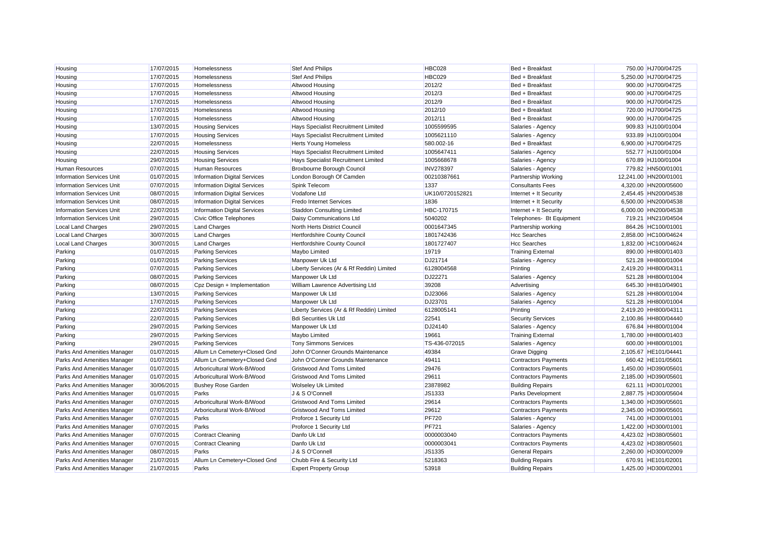| Housing                          | 17/07/2015 | Homelessness                        | <b>Stef And Philips</b>                   | <b>HBC028</b>    | Bed + Breakfast             | 750.00 HJ700/04725    |
|----------------------------------|------------|-------------------------------------|-------------------------------------------|------------------|-----------------------------|-----------------------|
| Housing                          | 17/07/2015 | Homelessness                        | <b>Stef And Philips</b>                   | <b>HBC029</b>    | Bed + Breakfast             | 5,250.00 HJ700/04725  |
| Housing                          | 17/07/2015 | Homelessness                        | Altwood Housing                           | 2012/2           | Bed + Breakfast             | 900.00 HJ700/04725    |
| Housing                          | 17/07/2015 | Homelessness                        | Altwood Housing                           | 2012/3           | Bed + Breakfast             | 900.00 HJ700/04725    |
| Housing                          | 17/07/2015 | Homelessness                        | Altwood Housing                           | 2012/9           | Bed + Breakfast             | 900.00 HJ700/04725    |
| Housing                          | 17/07/2015 | Homelessness                        | Altwood Housing                           | 2012/10          | Bed + Breakfast             | 720.00 HJ700/04725    |
| Housing                          | 17/07/2015 | <b>Homelessness</b>                 | Altwood Housing                           | 2012/11          | Bed + Breakfast             | 900.00 HJ700/04725    |
| Housing                          | 13/07/2015 | <b>Housing Services</b>             | Hays Specialist Recruitment Limited       | 1005599595       | Salaries - Agency           | 909.83 HJ100/01004    |
| Housing                          | 17/07/2015 | <b>Housing Services</b>             | Hays Specialist Recruitment Limited       | 1005621110       | Salaries - Agency           | 933.89 HJ100/01004    |
| Housing                          | 22/07/2015 | Homelessness                        | <b>Herts Young Homeless</b>               | 580.002-16       | Bed + Breakfast             | 6,900.00 HJ700/04725  |
| Housing                          | 22/07/2015 | <b>Housing Services</b>             | Hays Specialist Recruitment Limited       | 1005647411       | Salaries - Agency           | 552.77 HJ100/01004    |
| Housing                          | 29/07/2015 | <b>Housing Services</b>             | Hays Specialist Recruitment Limited       | 1005668678       | Salaries - Agency           | 670.89 HJ100/01004    |
| <b>Human Resources</b>           | 07/07/2015 | <b>Human Resources</b>              | Broxbourne Borough Council                | <b>INV278397</b> | Salaries - Agency           | 779.82 HN500/01001    |
| <b>Information Services Unit</b> | 01/07/2015 | <b>Information Digital Services</b> | London Borough Of Camden                  | 00210387661      | Partnership Working         | 12,241.00 HN200/01001 |
| <b>Information Services Unit</b> | 07/07/2015 | <b>Information Digital Services</b> | Spink Telecom                             | 1337             | <b>Consultants Fees</b>     | 4,320.00 HN200/05600  |
| <b>Information Services Unit</b> | 08/07/2015 | <b>Information Digital Services</b> | Vodafone Ltd                              | UK10/0720152821  | Internet + It Security      | 2,454.45 HN200/04538  |
| <b>Information Services Unit</b> | 08/07/2015 | <b>Information Digital Services</b> | <b>Fredo Internet Services</b>            | 1836             | Internet + It Security      | 6,500.00 HN200/04538  |
| <b>Information Services Unit</b> | 22/07/2015 | <b>Information Digital Services</b> | Staddon Consulting Limited                | HBC-170715       | Internet + It Security      | 6,000.00 HN200/04538  |
| <b>Information Services Unit</b> | 29/07/2015 | Civic Office Telephones             | Daisy Communications Ltd                  | 5040202          | Telephones- Bt Equipment    | 719.21 HN210/04504    |
| Local Land Charges               | 29/07/2015 | <b>Land Charges</b>                 | North Herts District Council              | 0001647345       | Partnership working         | 864.26 HC100/01001    |
| <b>Local Land Charges</b>        | 30/07/2015 | <b>Land Charges</b>                 | Hertfordshire County Council              | 1801742436       | <b>Hcc Searches</b>         | 2,858.00 HC100/04624  |
| Local Land Charges               | 30/07/2015 | <b>Land Charges</b>                 | Hertfordshire County Council              | 1801727407       | <b>Hcc Searches</b>         | 1,832.00 HC100/04624  |
| Parking                          | 01/07/2015 | <b>Parking Services</b>             | Maybo Limited                             | 19719            | <b>Training External</b>    | 890.00 HH800/01403    |
| Parking                          | 01/07/2015 | <b>Parking Services</b>             | Manpower Uk Ltd                           | DJ21714          | Salaries - Agency           | 521.28 HH800/01004    |
| Parking                          | 07/07/2015 | <b>Parking Services</b>             | Liberty Services (Ar & Rf Reddin) Limited | 6128004568       | Printing                    | 2,419.20 HH800/04311  |
| Parking                          | 08/07/2015 | <b>Parking Services</b>             | Manpower Uk Ltd                           | DJ22271          | Salaries - Agency           | 521.28 HH800/01004    |
| Parking                          | 08/07/2015 | Cpz Design + Implementation         | William Lawrence Advertising Ltd          | 39208            | Advertising                 | 645.30 HH810/04901    |
| Parking                          | 13/07/2015 | <b>Parking Services</b>             | Manpower Uk Ltd                           | DJ23066          | Salaries - Agency           | 521.28 HH800/01004    |
| Parking                          | 17/07/2015 | <b>Parking Services</b>             | Manpower Uk Ltd                           | DJ23701          | Salaries - Agency           | 521.28 HH800/01004    |
| Parking                          | 22/07/2015 | <b>Parking Services</b>             | Liberty Services (Ar & Rf Reddin) Limited | 6128005141       | Printing                    | 2,419.20 HH800/04311  |
| Parking                          | 22/07/2015 | <b>Parking Services</b>             | <b>Bdi Securities Uk Ltd</b>              | 22541            | <b>Security Services</b>    | 2,100.86 HH800/04440  |
| Parking                          | 29/07/2015 | <b>Parking Services</b>             | Manpower Uk Ltd                           | DJ24140          | Salaries - Agency           | 676.84 HH800/01004    |
| Parking                          | 29/07/2015 | <b>Parking Services</b>             | Maybo Limited                             | 19661            | <b>Training External</b>    | 1,780.00 HH800/01403  |
| Parking                          | 29/07/2015 | <b>Parking Services</b>             | <b>Tony Simmons Services</b>              | TS-436-072015    | Salaries - Agency           | 600.00 HH800/01001    |
| Parks And Amenities Manager      | 01/07/2015 | Allum Ln Cemetery+Closed Gnd        | John O'Conner Grounds Maintenance         | 49384            | <b>Grave Digging</b>        | 2,105.67 HE101/04441  |
| Parks And Amenities Manager      | 01/07/2015 | Allum Ln Cemetery+Closed Gnd        | John O'Conner Grounds Maintenance         | 49411            | <b>Contractors Payments</b> | 660.42 HE101/05601    |
| Parks And Amenities Manager      | 01/07/2015 | Arboricultural Work-B/Wood          | <b>Gristwood And Toms Limited</b>         | 29476            | <b>Contractors Payments</b> | 1,450.00 HD390/05601  |
| Parks And Amenities Manager      | 01/07/2015 | Arboricultural Work-B/Wood          | <b>Gristwood And Toms Limited</b>         | 29611            | <b>Contractors Payments</b> | 2,185.00 HD390/05601  |
| Parks And Amenities Manager      | 30/06/2015 | <b>Bushey Rose Garden</b>           | <b>Wolseley Uk Limited</b>                | 23878982         | <b>Building Repairs</b>     | 621.11 HD301/02001    |
| Parks And Amenities Manager      | 01/07/2015 | Parks                               | J & S O'Connel                            | JS1333           | Parks Development           | 2,887.75 HD300/05604  |
| Parks And Amenities Manager      | 07/07/2015 | Arboricultural Work-B/Wood          | <b>Gristwood And Toms Limited</b>         | 29614            | <b>Contractors Payments</b> | 1,340.00 HD390/05601  |
| Parks And Amenities Manager      | 07/07/2015 | Arboricultural Work-B/Wood          | <b>Gristwood And Toms Limited</b>         | 29612            | <b>Contractors Payments</b> | 2.345.00 HD390/05601  |
| Parks And Amenities Manager      | 07/07/2015 | Parks                               | Proforce 1 Security Ltd                   | <b>PF720</b>     | Salaries - Agency           | 741.00 HD300/01001    |
| Parks And Amenities Manager      | 07/07/2015 | Parks                               | Proforce 1 Security Ltd                   | <b>PF721</b>     | Salaries - Agency           | 1,422.00 HD300/01001  |
| Parks And Amenities Manager      | 07/07/2015 | Contract Cleaning                   | Danfo Uk Ltd                              | 0000003040       | <b>Contractors Payments</b> | 4,423.02 HD380/05601  |
| Parks And Amenities Manager      | 07/07/2015 | Contract Cleaning                   | Danfo Uk Ltd                              | 0000003041       | <b>Contractors Payments</b> | 4,423.02 HD380/05601  |
| Parks And Amenities Manager      | 08/07/2015 | Parks                               | J & S O'Connell                           | JS1335           | <b>General Repairs</b>      | 2,260.00 HD300/02009  |
| Parks And Amenities Manager      | 21/07/2015 | Allum Ln Cemetery+Closed Gnd        | Chubb Fire & Security Ltd                 | 5218363          | <b>Building Repairs</b>     | 670.91 HE101/02001    |
| Parks And Amenities Manager      | 21/07/2015 | Parks                               | <b>Expert Property Group</b>              | 53918            | <b>Building Repairs</b>     | 1.425.00 HD300/02001  |
|                                  |            |                                     |                                           |                  |                             |                       |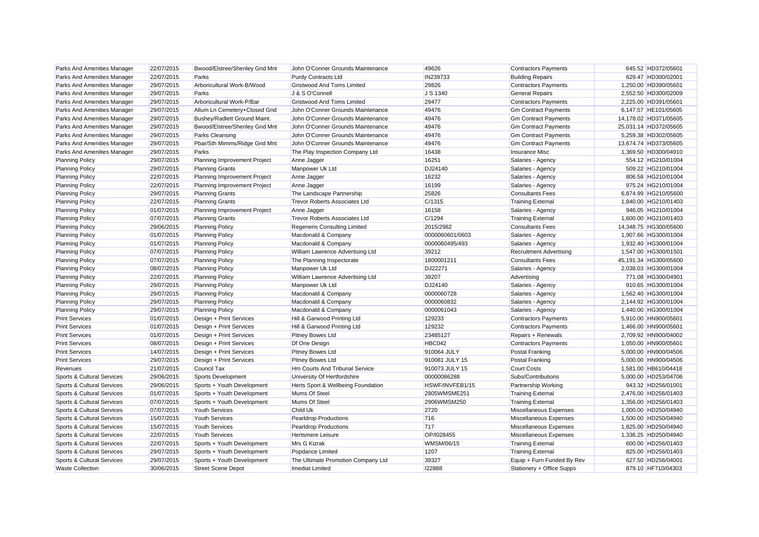| Parks And Amenities Manager | 22/07/2015 | Bwood/Elstree/Shenley Gnd Mnt | John O'Conner Grounds Maintenance    | 49626           | <b>Contractors Payments</b>    | 645.52 HD372/05601    |
|-----------------------------|------------|-------------------------------|--------------------------------------|-----------------|--------------------------------|-----------------------|
| Parks And Amenities Manager | 22/07/2015 | Parks                         | <b>Purdy Contracts Ltd</b>           | IN239733        | <b>Building Repairs</b>        | 629.47 HD300/02001    |
| Parks And Amenities Manager | 29/07/2015 | Arboricultural Work-B/Wood    | <b>Gristwood And Toms Limited</b>    | 29826           | <b>Contractors Payments</b>    | 1,250.00 HD390/05601  |
| Parks And Amenities Manager | 29/07/2015 | Parks                         | J & S O'Connell                      | J S 1340        | <b>General Repairs</b>         | 2,552.50 HD300/02009  |
| Parks And Amenities Manager | 29/07/2015 | Arboricultural Work-P/Bar     | <b>Gristwood And Toms Limited</b>    | 29477           | <b>Contractors Payments</b>    | 2,225.00 HD391/05601  |
| Parks And Amenities Manager | 29/07/2015 | Allum Ln Cemetery+Closed Gnd  | John O'Conner Grounds Maintenance    | 49476           | <b>Gm Contract Payments</b>    | 6,147.57 HE101/05605  |
| Parks And Amenities Manager | 29/07/2015 | Bushey/Radlett Ground Maint.  | John O'Conner Grounds Maintenance    | 49476           | <b>Gm Contract Payments</b>    | 14,178.02 HD371/05605 |
| Parks And Amenities Manager | 29/07/2015 | Bwood/Elstree/Shenley Gnd Mnt | John O'Conner Grounds Maintenance    | 49476           | <b>Gm Contract Payments</b>    | 25,031.14 HD372/05605 |
| Parks And Amenities Manager | 29/07/2015 | Parks Cleansing               | John O'Conner Grounds Maintenance    | 49476           | <b>Gm Contract Payments</b>    | 5,259.38 HD302/05605  |
| Parks And Amenities Manager | 29/07/2015 | Pbar/Sth Mimms/Ridge Gnd Mnt  | John O'Conner Grounds Maintenance    | 49476           | <b>Gm Contract Payments</b>    | 13,674.74 HD373/05605 |
| Parks And Amenities Manager | 29/07/2015 | Parks                         | The Play Inspection Company Ltd      | 16438           | <b>Insurance Misc</b>          | 1,369.50 HD300/04910  |
| <b>Planning Policy</b>      | 29/07/2015 | Planning Improvement Project  | Anne Jagger                          | 16251           | Salaries - Agency              | 554.12 HG210/01004    |
| <b>Planning Policy</b>      | 29/07/2015 | <b>Planning Grants</b>        | Manpower Uk Ltd                      | DJ24140         | Salaries - Agency              | 509.22 HG210/01004    |
| <b>Planning Policy</b>      | 22/07/2015 | Planning Improvement Project  | Anne Jagger                          | 16232           | Salaries - Agency              | 806.58 HG210/01004    |
| <b>Planning Policy</b>      | 22/07/2015 | Planning Improvement Project  | Anne Jagger                          | 16199           | Salaries - Agency              | 975.24 HG210/01004    |
| <b>Planning Policy</b>      | 29/07/2015 | <b>Planning Grants</b>        | The Landscape Partnership            | 25826           | <b>Consultants Fees</b>        | 6,874.99 HG210/05600  |
| <b>Planning Policy</b>      | 22/07/2015 | <b>Planning Grants</b>        | <b>Trevor Roberts Associates Ltd</b> | C/1315          | <b>Training External</b>       | 1,840.00 HG210/01403  |
| <b>Planning Policy</b>      | 01/07/2015 | Planning Improvement Project  | Anne Jagger                          | 16158           | Salaries - Agency              | 946.05 HG210/01004    |
| <b>Planning Policy</b>      | 07/07/2015 | <b>Planning Grants</b>        | <b>Trevor Roberts Associates Ltd</b> | C/1294          | <b>Training External</b>       | 1,600.00 HG210/01403  |
| <b>Planning Policy</b>      | 29/06/2015 | <b>Planning Policy</b>        | Regeneris Consulting Limited         | 2015/2982       | <b>Consultants Fees</b>        | 14,348.75 HG300/05600 |
| <b>Planning Policy</b>      | 01/07/2015 | <b>Planning Policy</b>        | Macdonald & Company                  | 0000060601/0603 | Salaries - Agency              | 1,907.66 HG300/01004  |
| <b>Planning Policy</b>      | 01/07/2015 | <b>Planning Policy</b>        | Macdonald & Company                  | 0000060495/493  | Salaries - Agency              | 1.932.40 HG300/01004  |
| <b>Planning Policy</b>      | 07/07/2015 | <b>Planning Policy</b>        | William Lawrence Advertising Ltd     | 39212           | <b>Recruitment Advertising</b> | 1,547.00 HG300/01501  |
| <b>Planning Policy</b>      | 07/07/2015 | <b>Planning Policy</b>        | The Planning Inspectorate            | 1800001211      | <b>Consultants Fees</b>        | 45,191.34 HG300/05600 |
| <b>Planning Policy</b>      | 08/07/2015 | <b>Planning Policy</b>        | Manpower Uk Ltd                      | DJ22271         | Salaries - Agency              | 2,038.03 HG300/01004  |
| <b>Planning Policy</b>      | 22/07/2015 | <b>Planning Policy</b>        | William Lawrence Advertising Ltd     | 39207           | Advertising                    | 771.08 HG300/04901    |
| <b>Planning Policy</b>      | 29/07/2015 | <b>Planning Policy</b>        | Manpower Uk Ltd                      | DJ24140         | Salaries - Agency              | 910.65 HG300/01004    |
| <b>Planning Policy</b>      | 29/07/2015 | <b>Planning Policy</b>        | Macdonald & Company                  | 0000060728      | Salaries - Agency              | 1,562.40 HG300/01004  |
| <b>Planning Policy</b>      | 29/07/2015 | <b>Planning Policy</b>        | Macdonald & Company                  | 0000060832      | Salaries - Agency              | 2,144.92 HG300/01004  |
| <b>Planning Policy</b>      | 29/07/2015 | <b>Planning Policy</b>        | Macdonald & Company                  | 0000061043      | Salaries - Agency              | 1,440.00 HG300/01004  |
| <b>Print Services</b>       | 01/07/2015 | Design + Print Services       | Hill & Garwood Printing Ltd          | 129233          | <b>Contractors Payments</b>    | 5,910.00 HN900/05601  |
| <b>Print Services</b>       | 01/07/2015 | Design + Print Services       | Hill & Garwood Printing Ltd          | 129232          | <b>Contractors Payments</b>    | 1,466.00 HN900/05601  |
| <b>Print Services</b>       | 01/07/2015 | Design + Print Services       | <b>Pitney Bowes Ltd</b>              | 23485127        | Repairs + Renewals             | 2,709.92 HN900/04002  |
| <b>Print Services</b>       | 08/07/2015 | Design + Print Services       | Df One Design                        | <b>HBC042</b>   | <b>Contractors Payments</b>    | 1,050.00 HN900/05601  |
| <b>Print Services</b>       | 14/07/2015 | Design + Print Services       | <b>Pitney Bowes Ltd</b>              | 910064 JULY     | <b>Postal Franking</b>         | 5,000.00 HN900/04506  |
| <b>Print Services</b>       | 29/07/2015 | Design + Print Services       | <b>Pitney Bowes Ltd</b>              | 910081 JULY 15  | <b>Postal Franking</b>         | 5,000.00 HN900/04506  |
| Revenues                    | 21/07/2015 | <b>Council Tax</b>            | Hm Courts And Tribunal Service       | 910073 JULY 15  | <b>Court Costs</b>             | 1,581.00 HB610/04418  |
| Sports & Cultural Services  | 29/06/2015 | <b>Sports Development</b>     | University Of Hertfordshire          | 00000086288     | Subs/Contributions             | 5,000.00 HD253/04706  |
| Sports & Cultural Services  | 29/06/2015 | Sports + Youth Development    | Herts Sport & Wellbeing Foundation   | HSWF/INVFEB1/15 | <b>Partnership Working</b>     | 943.32 HD256/01001    |
| Sports & Cultural Services  | 01/07/2015 | Sports + Youth Development    | Mums Of Steel                        | 2805WMSME251    | <b>Training External</b>       | 2,476.00 HD256/01403  |
| Sports & Cultural Services  | 07/07/2015 | Sports + Youth Development    | Mums Of Steel                        | 2906WMSM250     | <b>Training External</b>       | 1,356.00 HD256/01403  |
| Sports & Cultural Services  | 07/07/2015 | <b>Youth Services</b>         | Child Uk                             | 2720            | Miscellaneous Expenses         | 1,000.00 HD250/04940  |
| Sports & Cultural Services  | 15/07/2015 | <b>Youth Services</b>         | <b>Pearldrop Productions</b>         | 716             | Miscellaneous Expenses         | 1,500.00 HD250/04940  |
| Sports & Cultural Services  | 15/07/2015 | <b>Youth Services</b>         | <b>Pearldrop Productions</b>         | 717             | Miscellaneous Expenses         | 1,825.00 HD250/04940  |
| Sports & Cultural Services  | 22/07/2015 | <b>Youth Services</b>         | <b>Hertsmere Leisure</b>             | OP/I028455      | Miscellaneous Expenses         | 1,336.25 HD250/04940  |
| Sports & Cultural Services  | 22/07/2015 | Sports + Youth Development    | Mrs G Kizrak                         | WMSM/06/15      | <b>Training External</b>       | 600.00 HD256/01403    |
| Sports & Cultural Services  | 29/07/2015 | Sports + Youth Development    | Popdance Limited                     | 1207            | <b>Training External</b>       | 825.00 HD256/01403    |
| Sports & Cultural Services  | 29/07/2015 | Sports + Youth Development    | The Ultimate Promotion Company Ltd   | 39327           | Equip + Furn Funded By Rev     | 627.50 HD256/04001    |
| <b>Waste Collection</b>     | 30/06/2015 | <b>Street Scene Depot</b>     | <b>Imediat Limited</b>               | 122888          | Stationery + Office Supps      | 879.10 HF710/04303    |
|                             |            |                               |                                      |                 |                                |                       |